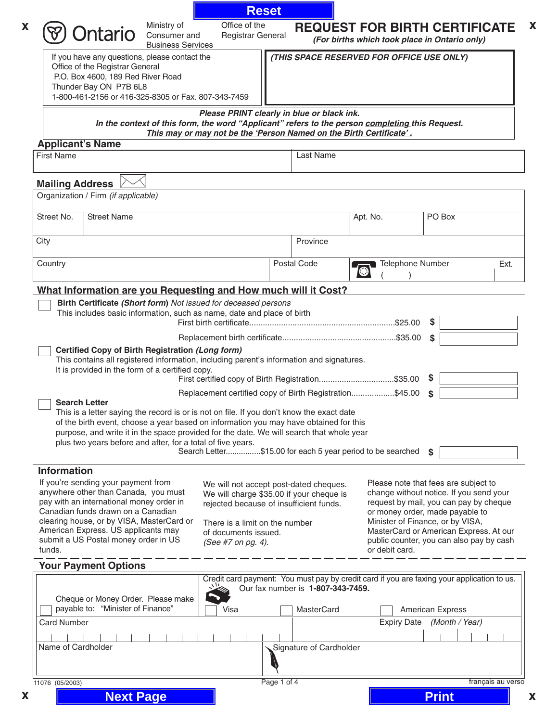| Office of the<br>Ministry of<br>Ontario<br>Consumer and<br>Registrar General<br><b>Business Services</b><br>If you have any questions, please contact the<br>(THIS SPACE RESERVED FOR OFFICE USE ONLY)<br>Office of the Registrar General<br>P.O. Box 4600, 189 Red River Road<br>Thunder Bay ON P7B 6L8<br>1-800-461-2156 or 416-325-8305 or Fax, 807-343-7459<br>Please PRINT clearly in blue or black ink.<br>In the context of this form, the word "Applicant" refers to the person completing this Request.<br>This may or may not be the 'Person Named on the Birth Certificate'.<br>Last Name<br><b>Street Name</b><br>Apt. No.<br>Province<br>Postal Code<br><b>&amp;</b> | <b>REQUEST FOR BIRTH CERTIFICATE</b><br>(For births which took place in Ontario only)                                                                                                                                 |  |  |  |
|-----------------------------------------------------------------------------------------------------------------------------------------------------------------------------------------------------------------------------------------------------------------------------------------------------------------------------------------------------------------------------------------------------------------------------------------------------------------------------------------------------------------------------------------------------------------------------------------------------------------------------------------------------------------------------------|-----------------------------------------------------------------------------------------------------------------------------------------------------------------------------------------------------------------------|--|--|--|
| <b>Applicant's Name</b><br><b>First Name</b><br><b>Mailing Address</b><br>Organization / Firm (if applicable)<br>Street No.<br>City<br>Country<br>What Information are you Requesting and How much will it Cost?                                                                                                                                                                                                                                                                                                                                                                                                                                                                  |                                                                                                                                                                                                                       |  |  |  |
|                                                                                                                                                                                                                                                                                                                                                                                                                                                                                                                                                                                                                                                                                   |                                                                                                                                                                                                                       |  |  |  |
|                                                                                                                                                                                                                                                                                                                                                                                                                                                                                                                                                                                                                                                                                   |                                                                                                                                                                                                                       |  |  |  |
|                                                                                                                                                                                                                                                                                                                                                                                                                                                                                                                                                                                                                                                                                   |                                                                                                                                                                                                                       |  |  |  |
|                                                                                                                                                                                                                                                                                                                                                                                                                                                                                                                                                                                                                                                                                   |                                                                                                                                                                                                                       |  |  |  |
|                                                                                                                                                                                                                                                                                                                                                                                                                                                                                                                                                                                                                                                                                   |                                                                                                                                                                                                                       |  |  |  |
|                                                                                                                                                                                                                                                                                                                                                                                                                                                                                                                                                                                                                                                                                   | PO Box                                                                                                                                                                                                                |  |  |  |
|                                                                                                                                                                                                                                                                                                                                                                                                                                                                                                                                                                                                                                                                                   |                                                                                                                                                                                                                       |  |  |  |
|                                                                                                                                                                                                                                                                                                                                                                                                                                                                                                                                                                                                                                                                                   | Telephone Number<br>Ext.                                                                                                                                                                                              |  |  |  |
|                                                                                                                                                                                                                                                                                                                                                                                                                                                                                                                                                                                                                                                                                   |                                                                                                                                                                                                                       |  |  |  |
| Certified Copy of Birth Registration (Long form)<br>This contains all registered information, including parent's information and signatures.<br>It is provided in the form of a certified copy.<br>First certified copy of Birth Registration\$35.00                                                                                                                                                                                                                                                                                                                                                                                                                              | S<br>\$<br>\$                                                                                                                                                                                                         |  |  |  |
| Replacement certified copy of Birth Registration\$45.00<br><b>Search Letter</b><br>This is a letter saying the record is or is not on file. If you don't know the exact date<br>of the birth event, choose a year based on information you may have obtained for this<br>purpose, and write it in the space provided for the date. We will search that whole year<br>plus two years before and after, for a total of five years.<br>Search Letter\$15.00 for each 5 year period to be searched                                                                                                                                                                                    | \$<br>S.                                                                                                                                                                                                              |  |  |  |
| <b>Information</b><br>If you're sending your payment from<br>We will not accept post-dated cheques.<br>anywhere other than Canada, you must<br>We will charge \$35.00 if your cheque is                                                                                                                                                                                                                                                                                                                                                                                                                                                                                           | Please note that fees are subject to<br>change without notice. If you send your                                                                                                                                       |  |  |  |
| pay with an international money order in<br>rejected because of insufficient funds.<br>Canadian funds drawn on a Canadian<br>clearing house, or by VISA, MasterCard or<br>There is a limit on the number<br>American Express. US applicants may<br>of documents issued.<br>submit a US Postal money order in US<br>(See #7 on pg. 4).<br>funds.                                                                                                                                                                                                                                                                                                                                   | request by mail, you can pay by cheque<br>or money order, made payable to<br>Minister of Finance, or by VISA,<br>MasterCard or American Express. At our<br>public counter, you can also pay by cash<br>or debit card. |  |  |  |
| <b>Your Payment Options</b>                                                                                                                                                                                                                                                                                                                                                                                                                                                                                                                                                                                                                                                       |                                                                                                                                                                                                                       |  |  |  |
| Credit card payment: You must pay by credit card if you are faxing your application to us.<br>Our fax number is 1-807-343-7459.<br>Cheque or Money Order. Please make                                                                                                                                                                                                                                                                                                                                                                                                                                                                                                             |                                                                                                                                                                                                                       |  |  |  |
| payable to: "Minister of Finance"<br>Visa<br><b>MasterCard</b>                                                                                                                                                                                                                                                                                                                                                                                                                                                                                                                                                                                                                    | <b>American Express</b>                                                                                                                                                                                               |  |  |  |
| <b>Card Number</b><br>Name of Cardholder<br>Signature of Cardholder                                                                                                                                                                                                                                                                                                                                                                                                                                                                                                                                                                                                               | (Month / Year)<br><b>Expiry Date</b>                                                                                                                                                                                  |  |  |  |
| Page 1 of 4<br>11076 (05/2003)                                                                                                                                                                                                                                                                                                                                                                                                                                                                                                                                                                                                                                                    |                                                                                                                                                                                                                       |  |  |  |
| <b>Next Page</b>                                                                                                                                                                                                                                                                                                                                                                                                                                                                                                                                                                                                                                                                  | français au verso                                                                                                                                                                                                     |  |  |  |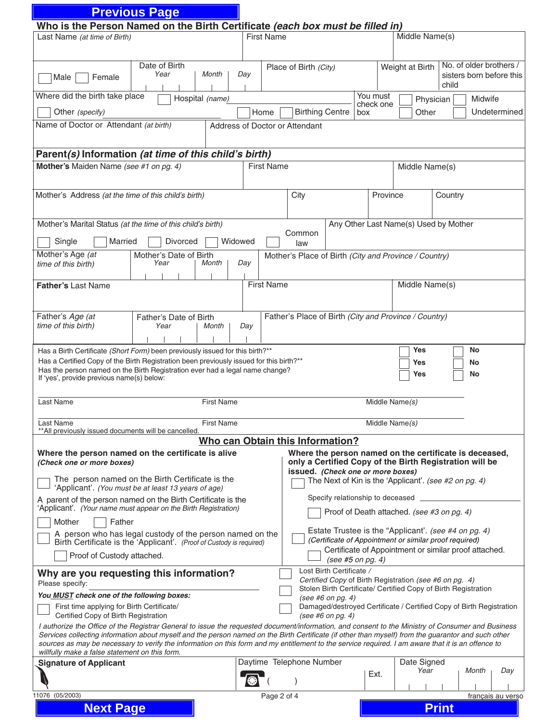# **Previous Page**

| Who is the Person Named on the Birth Certificate (each box must be filled in)<br>Last Name (at time of Birth)                                                                                                                                                                                                                                                                                                                                                  |                                                                                             |         |                   |                                                                                                                 |                                                                                |  |                                       |                 |  |                   |                                                              |                   |
|----------------------------------------------------------------------------------------------------------------------------------------------------------------------------------------------------------------------------------------------------------------------------------------------------------------------------------------------------------------------------------------------------------------------------------------------------------------|---------------------------------------------------------------------------------------------|---------|-------------------|-----------------------------------------------------------------------------------------------------------------|--------------------------------------------------------------------------------|--|---------------------------------------|-----------------|--|-------------------|--------------------------------------------------------------|-------------------|
|                                                                                                                                                                                                                                                                                                                                                                                                                                                                |                                                                                             |         |                   | Middle Name(s)<br><b>First Name</b>                                                                             |                                                                                |  |                                       |                 |  |                   |                                                              |                   |
| Male<br>Female                                                                                                                                                                                                                                                                                                                                                                                                                                                 | Date of Birth<br>Year                                                                       | Month   | Day               | Place of Birth (City)                                                                                           |                                                                                |  |                                       | Weight at Birth |  |                   | No. of older brothers /<br>sisters born before this<br>child |                   |
| Where did the birth take place                                                                                                                                                                                                                                                                                                                                                                                                                                 | Hospital (name)                                                                             |         |                   |                                                                                                                 |                                                                                |  | You must<br>check one                 |                 |  | Physician         | Midwife                                                      |                   |
| Other (specify)                                                                                                                                                                                                                                                                                                                                                                                                                                                |                                                                                             |         | Home              |                                                                                                                 | <b>Birthing Centre</b>                                                         |  | box                                   |                 |  | Other             |                                                              | Undetermined      |
| Name of Doctor or Attendant (at birth)<br>Address of Doctor or Attendant                                                                                                                                                                                                                                                                                                                                                                                       |                                                                                             |         |                   |                                                                                                                 |                                                                                |  |                                       |                 |  |                   |                                                              |                   |
| Parent(s) Information (at time of this child's birth)                                                                                                                                                                                                                                                                                                                                                                                                          |                                                                                             |         |                   |                                                                                                                 |                                                                                |  |                                       |                 |  |                   |                                                              |                   |
| Mother's Maiden Name (see #1 on pg. 4)                                                                                                                                                                                                                                                                                                                                                                                                                         |                                                                                             |         |                   | <b>First Name</b><br>Middle Name(s)                                                                             |                                                                                |  |                                       |                 |  |                   |                                                              |                   |
| Mother's Address (at the time of this child's birth)                                                                                                                                                                                                                                                                                                                                                                                                           |                                                                                             |         |                   | City                                                                                                            |                                                                                |  | Province<br>Country                   |                 |  |                   |                                                              |                   |
| Mother's Marital Status (at the time of this child's birth)                                                                                                                                                                                                                                                                                                                                                                                                    |                                                                                             |         |                   |                                                                                                                 | Common                                                                         |  | Any Other Last Name(s) Used by Mother |                 |  |                   |                                                              |                   |
| Married<br>Single                                                                                                                                                                                                                                                                                                                                                                                                                                              | <b>Divorced</b>                                                                             | Widowed |                   |                                                                                                                 | law                                                                            |  |                                       |                 |  |                   |                                                              |                   |
| Mother's Age (at<br>time of this birth)                                                                                                                                                                                                                                                                                                                                                                                                                        | Mother's Date of Birth<br>Year                                                              | Month   | Day               |                                                                                                                 | Mother's Place of Birth (City and Province / Country)                          |  |                                       |                 |  |                   |                                                              |                   |
| Father's Last Name                                                                                                                                                                                                                                                                                                                                                                                                                                             |                                                                                             |         | <b>First Name</b> |                                                                                                                 |                                                                                |  |                                       |                 |  | Middle Name(s)    |                                                              |                   |
| Father's Age (at                                                                                                                                                                                                                                                                                                                                                                                                                                               | Father's Date of Birth                                                                      |         |                   |                                                                                                                 |                                                                                |  |                                       |                 |  |                   |                                                              |                   |
| time of this birth)                                                                                                                                                                                                                                                                                                                                                                                                                                            | Year                                                                                        | Month   | Day               | Father's Place of Birth (City and Province / Country)                                                           |                                                                                |  |                                       |                 |  |                   |                                                              |                   |
| Has a Birth Certificate (Short Form) been previously issued for this birth?**<br>Has a Certified Copy of the Birth Registration been previously issued for this birth?**<br>Has the person named on the Birth Registration ever had a legal name change?<br>If 'yes', provide previous name(s) below:                                                                                                                                                          |                                                                                             |         |                   |                                                                                                                 |                                                                                |  |                                       |                 |  | Yes<br>Yes<br>Yes | No<br>No<br>No                                               |                   |
| Last Name                                                                                                                                                                                                                                                                                                                                                                                                                                                      | <b>First Name</b>                                                                           |         |                   |                                                                                                                 | Middle Name(s)                                                                 |  |                                       |                 |  |                   |                                                              |                   |
| Last Name                                                                                                                                                                                                                                                                                                                                                                                                                                                      | <b>First Name</b><br>Middle Name(s)<br>** All previously issued documents will be cancelled |         |                   |                                                                                                                 |                                                                                |  |                                       |                 |  |                   |                                                              |                   |
|                                                                                                                                                                                                                                                                                                                                                                                                                                                                |                                                                                             |         |                   |                                                                                                                 | Who can Obtain this Information?                                               |  |                                       |                 |  |                   |                                                              |                   |
| Where the person named on the certificate is deceased,<br>Where the person named on the certificate is alive<br>only a Certified Copy of the Birth Registration will be<br>(Check one or more boxes)<br>issued. (Check one or more boxes)                                                                                                                                                                                                                      |                                                                                             |         |                   |                                                                                                                 |                                                                                |  |                                       |                 |  |                   |                                                              |                   |
| The person named on the Birth Certificate is the<br>'Applicant'. (You must be at least 13 years of age)                                                                                                                                                                                                                                                                                                                                                        |                                                                                             |         |                   | The Next of Kin is the 'Applicant'. (see #2 on pg. 4)                                                           |                                                                                |  |                                       |                 |  |                   |                                                              |                   |
| A parent of the person named on the Birth Certificate is the<br>'Applicant'. (Your name must appear on the Birth Registration)                                                                                                                                                                                                                                                                                                                                 |                                                                                             |         |                   |                                                                                                                 | Specify relationship to deceased<br>Proof of Death attached. (see #3 on pg. 4) |  |                                       |                 |  |                   |                                                              |                   |
| Mother<br>Father<br>Estate Trustee is the "Applicant'. (see #4 on pg. 4)                                                                                                                                                                                                                                                                                                                                                                                       |                                                                                             |         |                   |                                                                                                                 |                                                                                |  |                                       |                 |  |                   |                                                              |                   |
| A person who has legal custody of the person named on the<br>Birth Certificate is the 'Applicant'. (Proof of Custody is required)                                                                                                                                                                                                                                                                                                                              |                                                                                             |         |                   | (Certificate of Appointment or similar proof required)<br>Certificate of Appointment or similar proof attached. |                                                                                |  |                                       |                 |  |                   |                                                              |                   |
| Proof of Custody attached.<br>(see #5 on pg. 4)<br>Lost Birth Certificate /<br>Why are you requesting this information?                                                                                                                                                                                                                                                                                                                                        |                                                                                             |         |                   |                                                                                                                 |                                                                                |  |                                       |                 |  |                   |                                                              |                   |
| Certified Copy of Birth Registration (see #6 on pg. 4)<br>Please specify:<br>Stolen Birth Certificate/ Certified Copy of Birth Registration<br>You MUST check one of the following boxes:                                                                                                                                                                                                                                                                      |                                                                                             |         |                   |                                                                                                                 |                                                                                |  |                                       |                 |  |                   |                                                              |                   |
| (see #6 on pg. 4)<br>Damaged/destroyed Certificate / Certified Copy of Birth Registration<br>First time applying for Birth Certificate/<br>Certified Copy of Birth Registration<br>(see #6 on pg. 4)                                                                                                                                                                                                                                                           |                                                                                             |         |                   |                                                                                                                 |                                                                                |  |                                       |                 |  |                   |                                                              |                   |
| I authorize the Office of the Registrar General to issue the requested document/information, and consent to the Ministry of Consumer and Business<br>Services collecting information about myself and the person named on the Birth Certificate (if other than myself) from the guarantor and such other<br>sources as may be necessary to verify the information on this form and my entitlement to the service required. I am aware that it is an offence to |                                                                                             |         |                   |                                                                                                                 |                                                                                |  |                                       |                 |  |                   |                                                              |                   |
| willfully make a false statement on this form.<br><b>Signature of Applicant</b>                                                                                                                                                                                                                                                                                                                                                                                |                                                                                             |         |                   |                                                                                                                 | Daytime Telephone Number                                                       |  |                                       |                 |  | Date Signed       |                                                              |                   |
|                                                                                                                                                                                                                                                                                                                                                                                                                                                                |                                                                                             |         |                   |                                                                                                                 |                                                                                |  | Ext.                                  |                 |  | Year              | Month                                                        | Day               |
| 11076 (05/2003)                                                                                                                                                                                                                                                                                                                                                                                                                                                |                                                                                             |         |                   | Page 2 of 4                                                                                                     |                                                                                |  |                                       |                 |  |                   |                                                              | francais au verso |
| <b>Next Page</b>                                                                                                                                                                                                                                                                                                                                                                                                                                               |                                                                                             |         |                   |                                                                                                                 |                                                                                |  |                                       |                 |  | <b>Print</b>      |                                                              |                   |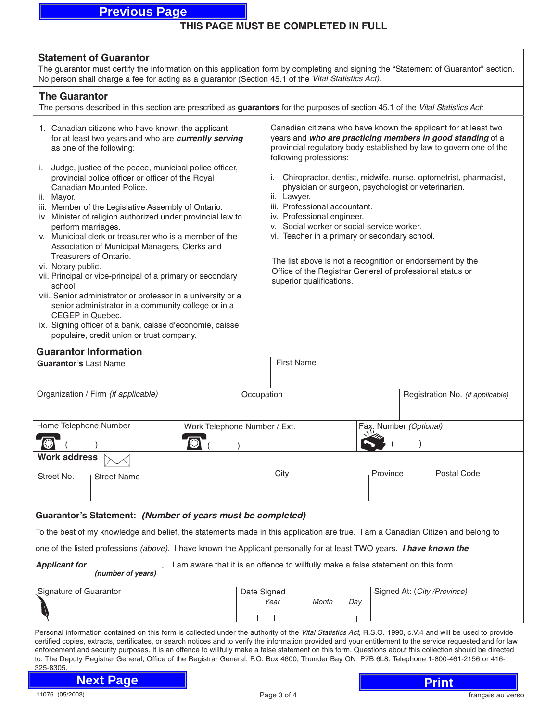# **Previous Page**

# **THIS PAGE MUST BE COMPLETED IN FULL**

### **Statement of Guarantor**

The guarantor must certify the information on this application form by completing and signing the "Statement of Guarantor" section. No person shall charge a fee for acting as a guarantor (Section 45.1 of the Vital Statistics Act).

### **The Guarantor**

The persons described in this section are prescribed as **guarantors** for the purposes of section 45.1 of the Vital Statistics Act:

- 1. Canadian citizens who have known the applicant for at least two years and who are **currently serving** as one of the following:
- i. Judge, justice of the peace, municipal police officer, provincial police officer or officer of the Royal Canadian Mounted Police.
- ii. Mayor.
- iii. Member of the Legislative Assembly of Ontario.
- iv. Minister of religion authorized under provincial law to perform marriages.
- v. Municipal clerk or treasurer who is a member of the Association of Municipal Managers, Clerks and Treasurers of Ontario.
- vi. Notary public.
- vii. Principal or vice-principal of a primary or secondary school.
- viii. Senior administrator or professor in a university or a senior administrator in a community college or in a CEGEP in Quebec.
- ix. Signing officer of a bank, caisse d'économie, caisse populaire, credit union or trust company.

Canadian citizens who have known the applicant for at least two years and **who are practicing members in good standing** of a provincial regulatory body established by law to govern one of the following professions:

- i. Chiropractor, dentist, midwife, nurse, optometrist, pharmacist, physician or surgeon, psychologist or veterinarian.
- ii. Lawyer.
- iii. Professional accountant.
- iv. Professional engineer.
- v. Social worker or social service worker.
- vi. Teacher in a primary or secondary school.

The list above is not a recognition or endorsement by the Office of the Registrar General of professional status or superior qualifications.

| <b>Guarantor Information</b>                                                                                                                                                                                                                                                                                                                                                                                                                              |                              |                   |     |                             |                                  |  |  |
|-----------------------------------------------------------------------------------------------------------------------------------------------------------------------------------------------------------------------------------------------------------------------------------------------------------------------------------------------------------------------------------------------------------------------------------------------------------|------------------------------|-------------------|-----|-----------------------------|----------------------------------|--|--|
| <b>Guarantor's Last Name</b>                                                                                                                                                                                                                                                                                                                                                                                                                              |                              | <b>First Name</b> |     |                             |                                  |  |  |
| Organization / Firm (if applicable)                                                                                                                                                                                                                                                                                                                                                                                                                       | Occupation                   |                   |     |                             | Registration No. (if applicable) |  |  |
| Home Telephone Number                                                                                                                                                                                                                                                                                                                                                                                                                                     | Work Telephone Number / Ext. |                   |     | Fax. Number (Optional)      |                                  |  |  |
| ❀                                                                                                                                                                                                                                                                                                                                                                                                                                                         |                              |                   |     |                             |                                  |  |  |
| <b>Work address</b>                                                                                                                                                                                                                                                                                                                                                                                                                                       |                              |                   |     |                             |                                  |  |  |
| Street No.<br><b>Street Name</b>                                                                                                                                                                                                                                                                                                                                                                                                                          | City                         |                   |     | Province                    | Postal Code                      |  |  |
| Guarantor's Statement: (Number of years must be completed)<br>To the best of my knowledge and belief, the statements made in this application are true. I am a Canadian Citizen and belong to<br>one of the listed professions (above). I have known the Applicant personally for at least TWO years. I have known the<br><b>Applicant for</b><br>I am aware that it is an offence to willfully make a false statement on this form.<br>(number of years) |                              |                   |     |                             |                                  |  |  |
|                                                                                                                                                                                                                                                                                                                                                                                                                                                           |                              |                   |     |                             |                                  |  |  |
| Signature of Guarantor                                                                                                                                                                                                                                                                                                                                                                                                                                    | Date Signed<br>Year          | Month             | Day | Signed At: (City /Province) |                                  |  |  |

Personal information contained on this form is collected under the authority of the Vital Statistics Act, R.S.O. 1990, c.V.4 and will be used to provide certified copies, extracts, certificates, or search notices and to verify the information provided and your entitlement to the service requested and for law enforcement and security purposes. It is an offence to willfully make a false statement on this form. Questions about this collection should be directed to: The Deputy Registrar General, Office of the Registrar General, P.O. Box 4600, Thunder Bay ON P7B 6L8. Telephone 1-800-461-2156 or 416- 325-8305.